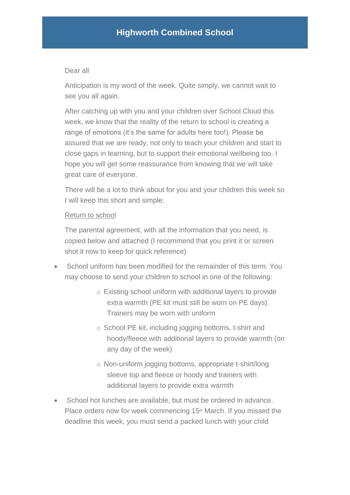## Dear all

Anticipation is my word of the week. Quite simply, we cannot wait to see you all again.

After catching up with you and your children over School Cloud this week, we know that the reality of the return to school is creating a range of emotions (it's the same for adults here too!). Please be assured that we are ready, not only to teach your children and start to close gaps in learning, but to support their emotional wellbeing too. I hope you will get some reassurance from knowing that we will take great care of everyone.

There will be a lot to think about for you and your children this week so I will keep this short and simple:

### Return to school

The parental agreement, with all the information that you need, is copied below and attached (I recommend that you print it or screen shot it now to keep for quick reference)

- School uniform has been modified for the remainder of this term. You may choose to send your children to school in one of the following:
	- o Existing school uniform with additional layers to provide extra warmth (PE kit must still be worn on PE days). Trainers may be worn with uniform
	- o School PE kit, including jogging bottoms, t-shirt and hoody/fleece with additional layers to provide warmth (on any day of the week)
	- o Non-uniform jogging bottoms, appropriate t-shirt/long sleeve top and fleece or hoody and trainers with additional layers to provide extra warmth
- School hot lunches are available, but must be ordered in advance. Place orders now for week commencing 15<sup>th</sup> March. If you missed the deadline this week, you must send a packed lunch with your child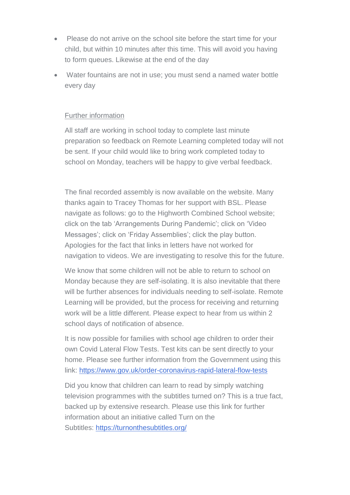- Please do not arrive on the school site before the start time for your child, but within 10 minutes after this time. This will avoid you having to form queues. Likewise at the end of the day
- Water fountains are not in use; you must send a named water bottle every day

## Further information

All staff are working in school today to complete last minute preparation so feedback on Remote Learning completed today will not be sent. If your child would like to bring work completed today to school on Monday, teachers will be happy to give verbal feedback.

The final recorded assembly is now available on the website. Many thanks again to Tracey Thomas for her support with BSL. Please navigate as follows: go to the Highworth Combined School website; click on the tab 'Arrangements During Pandemic'; click on 'Video Messages'; click on 'Friday Assemblies'; click the play button. Apologies for the fact that links in letters have not worked for navigation to videos. We are investigating to resolve this for the future.

We know that some children will not be able to return to school on Monday because they are self-isolating. It is also inevitable that there will be further absences for individuals needing to self-isolate. Remote Learning will be provided, but the process for receiving and returning work will be a little different. Please expect to hear from us within 2 school days of notification of absence.

It is now possible for families with school age children to order their own Covid Lateral Flow Tests. Test kits can be sent directly to your home. Please see further information from the Government using this link: <https://www.gov.uk/order-coronavirus-rapid-lateral-flow-tests>

Did you know that children can learn to read by simply watching television programmes with the subtitles turned on? This is a true fact, backed up by extensive research. Please use this link for further information about an initiative called Turn on the Subtitles: <https://turnonthesubtitles.org/>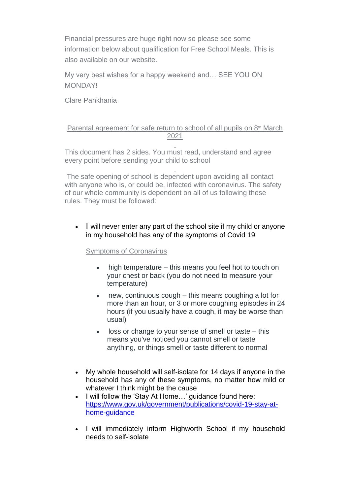Financial pressures are huge right now so please see some information below about qualification for Free School Meals. This is also available on our website.

My very best wishes for a happy weekend and… SEE YOU ON MONDAY!

Clare Pankhania

### Parental agreement for safe return to school of all pupils on  $8<sup>th</sup>$  March 2021

This document has 2 sides. You must read, understand and agree every point before sending your child to school

The safe opening of school is dependent upon avoiding all contact with anyone who is, or could be, infected with coronavirus. The safety of our whole community is dependent on all of us following these rules. They must be followed:

• I will never enter any part of the school site if my child or anyone in my household has any of the symptoms of Covid 19

#### Symptoms of Coronavirus

- high temperature this means you feel hot to touch on your chest or back (you do not need to measure your temperature)
- new, continuous cough this means coughing a lot for more than an hour, or 3 or more coughing episodes in 24 hours (if you usually have a cough, it may be worse than usual)
- loss or change to your sense of smell or taste this means you've noticed you cannot smell or taste anything, or things smell or taste different to normal
- My whole household will self-isolate for 14 days if anyone in the household has any of these symptoms, no matter how mild or whatever I think might be the cause
- I will follow the 'Stay At Home…' guidance found here: [https://www.gov.uk/government/publications/covid-19-stay-at](https://www.gov.uk/government/publications/covid-19-stay-at-home-guidance)[home-guidance](https://www.gov.uk/government/publications/covid-19-stay-at-home-guidance)
- I will immediately inform Highworth School if my household needs to self-isolate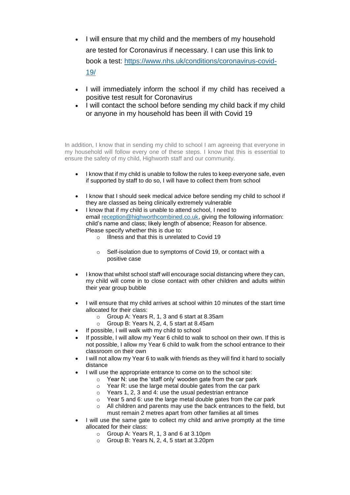- I will ensure that my child and the members of my household are tested for Coronavirus if necessary. I can use this link to book a test: [https://www.nhs.uk/conditions/coronavirus-covid-](https://www.nhs.uk/conditions/coronavirus-covid-19/)[19/](https://www.nhs.uk/conditions/coronavirus-covid-19/)
- I will immediately inform the school if my child has received a positive test result for Coronavirus
- I will contact the school before sending my child back if my child or anyone in my household has been ill with Covid 19

In addition, I know that in sending my child to school I am agreeing that everyone in my household will follow every one of these steps. I know that this is essential to ensure the safety of my child, Highworth staff and our community.

- I know that if my child is unable to follow the rules to keep everyone safe, even if supported by staff to do so, I will have to collect them from school
- I know that I should seek medical advice before sending my child to school if they are classed as being clinically extremely vulnerable
- I know that if my child is unable to attend school, I need to email [reception@highworthcombined.co.uk,](mailto:reception@highworthcombined.co.uk) giving the following information: child's name and class; likely length of absence; Reason for absence. Please specify whether this is due to:
	- o Illness and that this is unrelated to Covid 19
	- o Self-isolation due to symptoms of Covid 19, or contact with a positive case
- I know that whilst school staff will encourage social distancing where they can, my child will come in to close contact with other children and adults within their year group bubble
- I will ensure that my child arrives at school within 10 minutes of the start time allocated for their class:
	- o Group A: Years R, 1, 3 and 6 start at 8.35am
	- o Group B: Years N, 2, 4, 5 start at 8.45am
- If possible, I will walk with my child to school
- If possible, I will allow my Year 6 child to walk to school on their own. If this is not possible, I allow my Year 6 child to walk from the school entrance to their classroom on their own
- I will not allow my Year 6 to walk with friends as they will find it hard to socially distance
- I will use the appropriate entrance to come on to the school site:
	- o Year N: use the 'staff only' wooden gate from the car park
	- o Year R: use the large metal double gates from the car park
	- o Years 1, 2, 3 and 4: use the usual pedestrian entrance
	- o Year 5 and 6: use the large metal double gates from the car park
	- o All children and parents may use the back entrances to the field, but must remain 2 metres apart from other families at all times
- I will use the same gate to collect my child and arrive promptly at the time allocated for their class:
	- o Group A: Years R, 1, 3 and 6 at 3.10pm
	- o Group B: Years N, 2, 4, 5 start at 3.20pm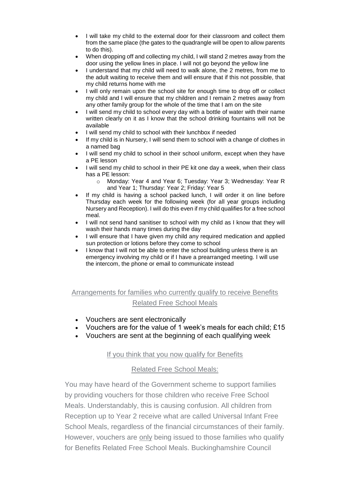- I will take my child to the external door for their classroom and collect them from the same place (the gates to the quadrangle will be open to allow parents to do this).
- When dropping off and collecting my child, I will stand 2 metres away from the door using the yellow lines in place. I will not go beyond the yellow line
- I understand that my child will need to walk alone, the 2 metres, from me to the adult waiting to receive them and will ensure that if this not possible, that my child returns home with me
- I will only remain upon the school site for enough time to drop off or collect my child and I will ensure that my children and I remain 2 metres away from any other family group for the whole of the time that I am on the site
- I will send my child to school every day with a bottle of water with their name written clearly on it as I know that the school drinking fountains will not be available
- I will send my child to school with their lunchbox if needed
- If my child is in Nursery, I will send them to school with a change of clothes in a named bag
- I will send my child to school in their school uniform, except when they have a PE lesson
- I will send my child to school in their PE kit one day a week, when their class has a PE lesson:
	- o Monday: Year 4 and Year 6; Tuesday: Year 3; Wednesday: Year R and Year 1; Thursday: Year 2; Friday: Year 5
- If my child is having a school packed lunch, I will order it on line before Thursday each week for the following week (for all year groups including Nursery and Reception). I will do this even if my child qualifies for a free school meal.
- I will not send hand sanitiser to school with my child as I know that they will wash their hands many times during the day
- I will ensure that I have given my child any required medication and applied sun protection or lotions before they come to school
- I know that I will not be able to enter the school building unless there is an emergency involving my child or if I have a prearranged meeting. I will use the intercom, the phone or email to communicate instead

# Arrangements for families who currently qualify to receive Benefits Related Free School Meals

- Vouchers are sent electronically
- Vouchers are for the value of 1 week's meals for each child; £15
- Vouchers are sent at the beginning of each qualifying week

#### If you think that you now qualify for Benefits

#### Related Free School Meals:

You may have heard of the Government scheme to support families by providing vouchers for those children who receive Free School Meals. Understandably, this is causing confusion. All children from Reception up to Year 2 receive what are called Universal Infant Free School Meals, regardless of the financial circumstances of their family. However, vouchers are only being issued to those families who qualify for Benefits Related Free School Meals. Buckinghamshire Council